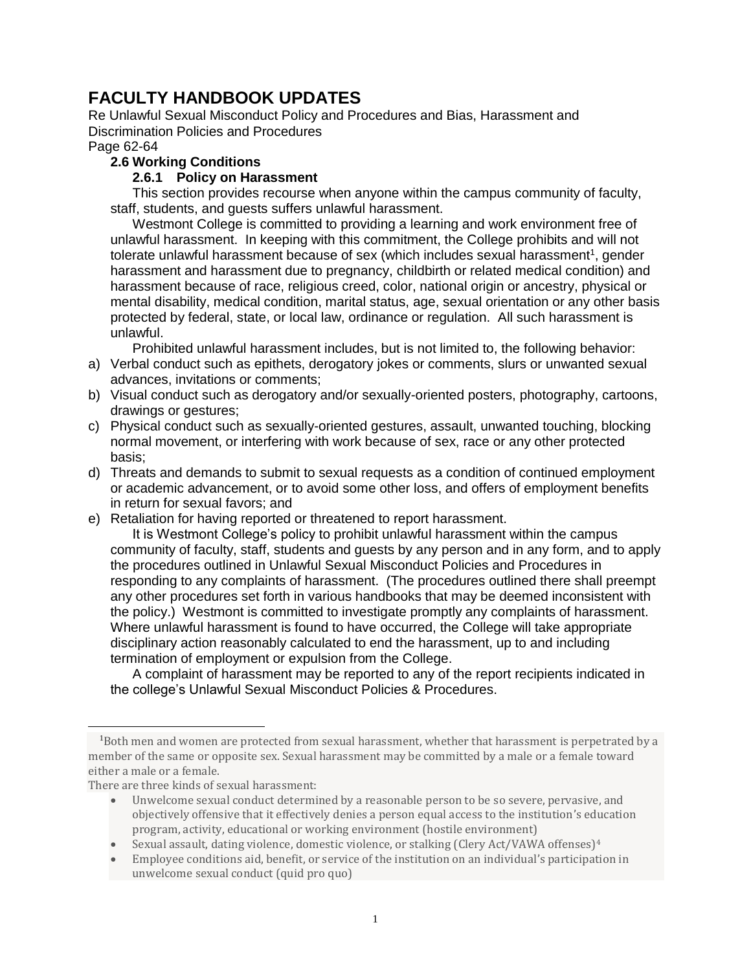## **FACULTY HANDBOOK UPDATES**

Re Unlawful Sexual Misconduct Policy and Procedures and Bias, Harassment and Discrimination Policies and Procedures

## Page 62-64

## **2.6 Working Conditions**

## **2.6.1 Policy on Harassment**

This section provides recourse when anyone within the campus community of faculty, staff, students, and guests suffers unlawful harassment.

Westmont College is committed to providing a learning and work environment free of unlawful harassment. In keeping with this commitment, the College prohibits and will not tolerate unlawful harassment because of sex (which includes sexual harassment<sup>1</sup>, gender harassment and harassment due to pregnancy, childbirth or related medical condition) and harassment because of race, religious creed, color, national origin or ancestry, physical or mental disability, medical condition, marital status, age, sexual orientation or any other basis protected by federal, state, or local law, ordinance or regulation. All such harassment is unlawful.

Prohibited unlawful harassment includes, but is not limited to, the following behavior:

- a) Verbal conduct such as epithets, derogatory jokes or comments, slurs or unwanted sexual advances, invitations or comments;
- b) Visual conduct such as derogatory and/or sexually-oriented posters, photography, cartoons, drawings or gestures;
- c) Physical conduct such as sexually-oriented gestures, assault, unwanted touching, blocking normal movement, or interfering with work because of sex, race or any other protected basis;
- d) Threats and demands to submit to sexual requests as a condition of continued employment or academic advancement, or to avoid some other loss, and offers of employment benefits in return for sexual favors; and
- e) Retaliation for having reported or threatened to report harassment.

It is Westmont College's policy to prohibit unlawful harassment within the campus community of faculty, staff, students and guests by any person and in any form, and to apply the procedures outlined in Unlawful Sexual Misconduct Policies and Procedures in responding to any complaints of harassment. (The procedures outlined there shall preempt any other procedures set forth in various handbooks that may be deemed inconsistent with the policy.) Westmont is committed to investigate promptly any complaints of harassment. Where unlawful harassment is found to have occurred, the College will take appropriate disciplinary action reasonably calculated to end the harassment, up to and including termination of employment or expulsion from the College.

A complaint of harassment may be reported to any of the report recipients indicated in the college's Unlawful Sexual Misconduct Policies & Procedures.

l

<sup>&</sup>lt;sup>1</sup>Both men and women are protected from sexual harassment, whether that harassment is perpetrated by a member of the same or opposite sex. Sexual harassment may be committed by a male or a female toward either a male or a female.

There are three kinds of sexual harassment:

Unwelcome sexual conduct determined by a reasonable person to be so severe, pervasive, and objectively offensive that it effectively denies a person equal access to the institution's education program, activity, educational or working environment (hostile environment)

Sexual assault, dating violence, domestic violence, or stalking (Clery Act/VAWA offenses)<sup>4</sup>

Employee conditions aid, benefit, or service of the institution on an individual's participation in unwelcome sexual conduct (quid pro quo)